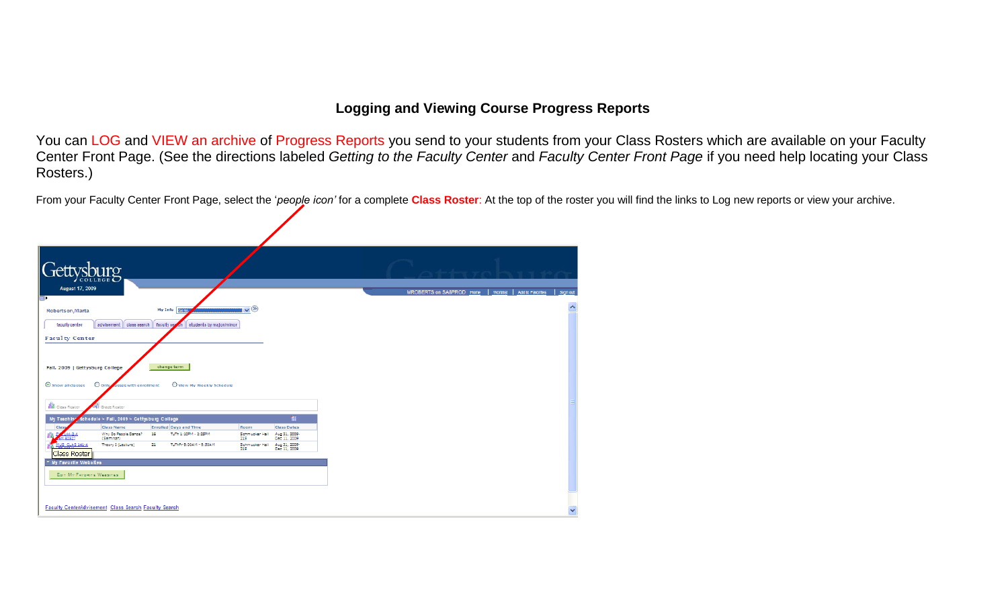## **Logging and Viewing Course Progress Reports**

You can LOG and VIEW an archive of Progress Reports you send to your students from your Class Rosters which are available on your Faculty Center Front Page. (See the directions labeled *Getting to the Faculty Center* and *Faculty Center Front Page* if you need help locating your Class Rosters.)

From your Faculty Center Front Page, select the '*people icon'* for a complete **Class Roster**: At the top of the roster you will find the links to Log new reports or view your archive.

| Gettysburg                                                                                                                                                 |                                                            |                                                                           |                               |  |                                                                   |
|------------------------------------------------------------------------------------------------------------------------------------------------------------|------------------------------------------------------------|---------------------------------------------------------------------------|-------------------------------|--|-------------------------------------------------------------------|
| August 17, 2009                                                                                                                                            |                                                            |                                                                           |                               |  | MROBERTS on SA8PROD Home   Worklist   Add to Favorites   Sign out |
| Robertson, Marta                                                                                                                                           | My Info Go to.                                             | $\blacktriangledown$                                                      |                               |  |                                                                   |
| advisement class search faculty search<br>faculty center                                                                                                   | students by major/minor                                    |                                                                           |                               |  |                                                                   |
| <b>Faculty Center</b>                                                                                                                                      |                                                            |                                                                           |                               |  |                                                                   |
| O only asses with enrollment                                                                                                                               | change term<br>O View My Weekly Schedule                   |                                                                           |                               |  |                                                                   |
| Fall, 2009   Gettysburg College<br>Show all classes<br><b>AB</b> Class Roster<br>Grade Roster<br>schedule > Fall, 2009 > Gettysburg College<br>My Teaching |                                                            |                                                                           | m                             |  |                                                                   |
| <b>Class Name</b><br><b>Class</b>                                                                                                                          | <b>Enrolled Days and Time</b>                              | Room                                                                      | <b>Class Dates</b>            |  |                                                                   |
| Why Do People Dance?<br>$144 - 2 - A$<br><b>MERGERZ</b><br>(Seminar)<br>US CLAS 141-A<br>Theory I (Lecture)                                                | TuTh 1:10PM - 2:25PM<br>16<br>21<br>TuThFr 9:00AM - 9:50AM | Schmucker Hall<br>215<br>Schmucker Hall Aug 31, 2009-<br>215 Dec 11, 2009 | Aug 31, 2009-<br>Dec 11, 2009 |  |                                                                   |
| Class Roster                                                                                                                                               |                                                            |                                                                           |                               |  |                                                                   |
| My Favorite Websites<br>EDIT MY FAVORITE WEBSITES                                                                                                          |                                                            |                                                                           |                               |  |                                                                   |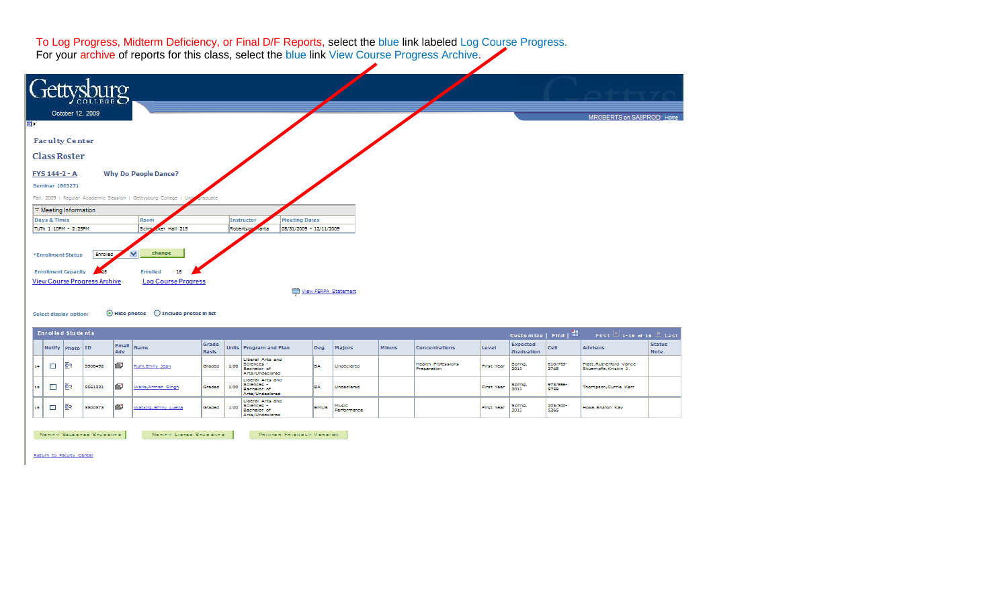To Log Progress, Midterm Deficiency, or Final D/F Reports, select the blue link labeled Log Course Progress.<br>For your archive of reports for this class, select the blue link View Course Progress Archive.



 $\textcircled{}$  Hide photos  $\textcircled{}$  Include photos in list Select display option:

| Enrolled Students |                 |         |           |                       |                |      |                                                                                |             |                      |               |                                   |                   | Customize   Find   $\equiv$   |                  | $\mathbb{Z}$ 1-18 of 18 $\mathbb{Z}$ Last<br>First. |                              |
|-------------------|-----------------|---------|-----------|-----------------------|----------------|------|--------------------------------------------------------------------------------|-------------|----------------------|---------------|-----------------------------------|-------------------|-------------------------------|------------------|-----------------------------------------------------|------------------------------|
|                   | Notify Photo ID |         | Adv       | Email Name            | Grade<br>Basis |      | Units Program and Plan                                                         | Dea         | Majors               | <b>Minors</b> | <b>Concentrations</b>             | Level             | <b>Expected</b><br>Graduation | Cell             | <b>Advisors</b>                                     | <b>Status</b><br><b>Note</b> |
| □<br>14           | 隁               | 5508492 | lΘ        | Ruhl, Emilly Jean     | Graded         | 1.00 | <b>Liberal Arts and</b><br>Sciences -<br><b>Bachelor</b> of<br>Arts/Undeclared | l B.A       | Undeclared           |               | Health Professions<br>Preparation | First Year        | Spring,<br>2013               | 610/763-<br>2748 | Platt, Rutherlord Vance<br>Stuampfie, Kristin J.    |                              |
| □<br>12.5         | 医               | 5561221 | lε        | Walla, Arman Singh    | Graded         | 1.00 | <b>Liberal Arts and</b><br>Sciences -<br><b>Bachelor</b> of<br>Arts/Undeclared | lea         | Undeclared           |               |                                   | <b>First Year</b> | Spring,<br>2013               | 973/986-<br>5759 | Thompson, Currie Kerr                               |                              |
| □<br>16           | 图               | 5500573 | <b>IS</b> | Watkins, Emily Luella | Graded         | 1.00 | <b>Liberal Arts and</b><br>Sciences -<br>Bachelor of<br>Arts/Undeclared        | <b>BMUS</b> | Music<br>Performance |               |                                   | First Year        | Spring,<br>2013               | 203/520-<br>5265 | Hoke, Sharon Kay                                    |                              |

NOTIFY SELECTED STUDENTS

NOTIFY LISTED STUDENTS PRINTER FRIENDLY VERSION

Return to Faculty Center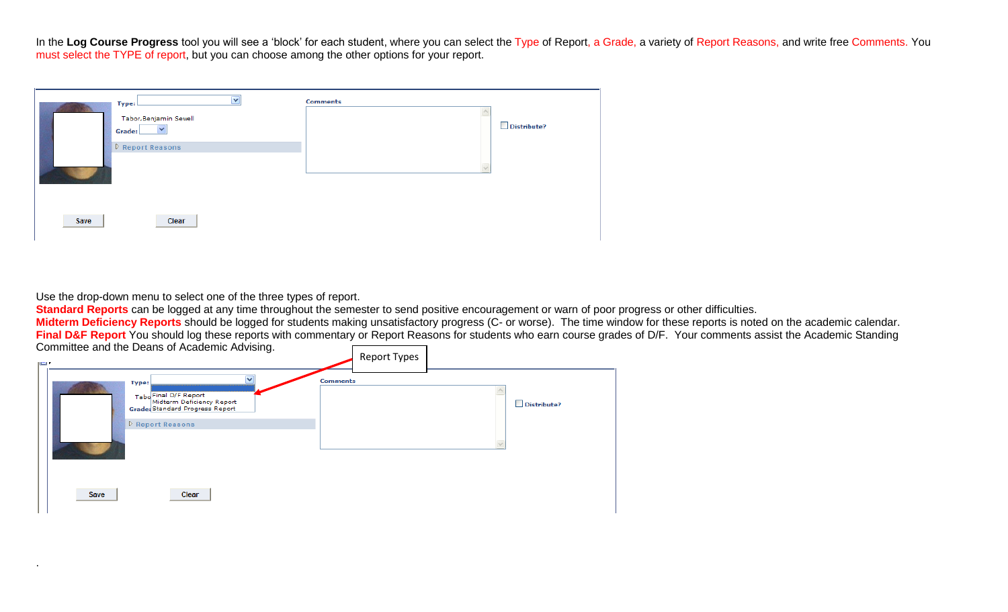In the Log Course Progress tool you will see a 'block' for each student, where you can select the Type of Report, a Grade, a variety of Report Reasons, and write free Comments. You must select the TYPE of report, but you can choose among the other options for your report.

|      | $\overline{\mathbf{v}}$<br>Type:<br>Tabor, Benjamin Sewell<br>٧<br>Grade:<br>$\triangleright$ Report Reasons | Comments | Distribute? |
|------|--------------------------------------------------------------------------------------------------------------|----------|-------------|
| Save | Clear                                                                                                        |          |             |

Use the drop-down menu to select one of the three types of report.

.

**Standard Reports** can be logged at any time throughout the semester to send positive encouragement or warn of poor progress or other difficulties.

**Midterm Deficiency Reports** should be logged for students making unsatisfactory progress (C- or worse). The time window for these reports is noted on the academic calendar. **Final D&F Report** You should log these reports with commentary or Report Reasons for students who earn course grades of D/F. Your comments assist the Academic Standing Committee and the Deans of Academic Advising.

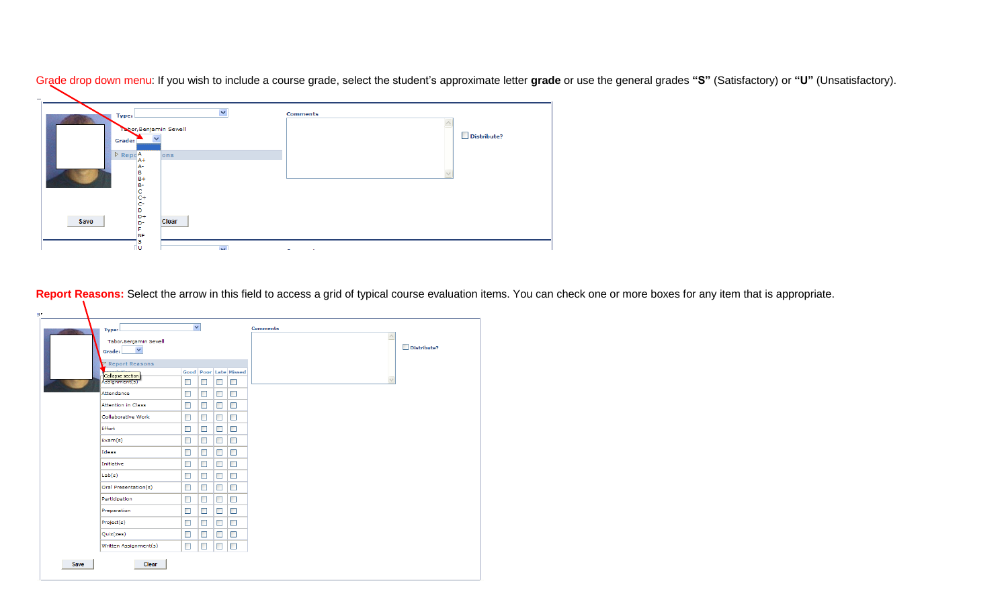| $\overline{\phantom{a}}$         |              |                     |             |
|----------------------------------|--------------|---------------------|-------------|
| Type:                            | $\checkmark$ | <b>Comments</b>     |             |
| Tabor, Benjamin Sewell<br>Grade: |              |                     | Distribute? |
| $P$ Repo $A$<br>$A+$             | ons          |                     |             |
| А-<br>в<br>$B +$<br>в-           |              |                     |             |
| c<br>$C +$<br>c-                 |              |                     |             |
| D<br>D+<br>Save<br>D-            | Clear        |                     |             |
| F<br><b>NF</b><br>s              |              |                     |             |
| 'ω                               | $\mathbf{v}$ | <b>Construction</b> |             |

Grade drop down menu: If you wish to include a course grade, select the student's approximate letter grade or use the general grades "S" (Satisfactory) or "U" (Unsatisfactory).

**Report Reasons:** Select the arrow in this field to access a grid of typical course evaluation items. You can check one or more boxes for any item that is appropriate.

| Tabor, Benjamin Sewell<br>$\checkmark$<br>Grade: |        |        |        |                              | $\land$ | Distribute? |
|--------------------------------------------------|--------|--------|--------|------------------------------|---------|-------------|
| $\nabla$ Report Reasons                          |        |        |        |                              |         |             |
| Collapse section                                 |        |        |        | <b>Good</b> Poor Late Missed |         |             |
| Assignment(s)                                    | $\Box$ | $\Box$ | $\Box$ | $\Box$                       |         |             |
| Attendance                                       | $\Box$ | □      | $\Box$ | $\Box$                       |         |             |
| Attention in Class                               | $\Box$ | $\Box$ | □      | $\Box$                       |         |             |
| Collaborative Work                               | $\Box$ | $\Box$ | $\Box$ | $\Box$                       |         |             |
| Effort                                           | $\Box$ | $\Box$ | $\Box$ | $\Box$                       |         |             |
| Exam(s)                                          | $\Box$ | □      | $\Box$ | $\Box$                       |         |             |
| Ideas                                            | $\Box$ | □      | $\Box$ | $\Box$                       |         |             |
| Initiative                                       | $\Box$ | □      | $\Box$ | $\Box$                       |         |             |
| Lab(s)                                           | $\Box$ | $\Box$ | $\Box$ | $\Box$                       |         |             |
| Oral Presentation(s)                             | $\Box$ | □      | $\Box$ | $\Box$                       |         |             |
| Participation                                    | $\Box$ | □      | $\Box$ | $\Box$                       |         |             |
| Preparation                                      | $\Box$ | $\Box$ | $\Box$ | $\Box$                       |         |             |
| Project(s)                                       | $\Box$ | $\Box$ | $\Box$ | $\Box$                       |         |             |
| Quiz(zes)                                        | $\Box$ | $\Box$ | $\Box$ | $\Box$                       |         |             |
| Written Assignment(s)                            | $\Box$ | □      | $\Box$ | $\Box$                       |         |             |